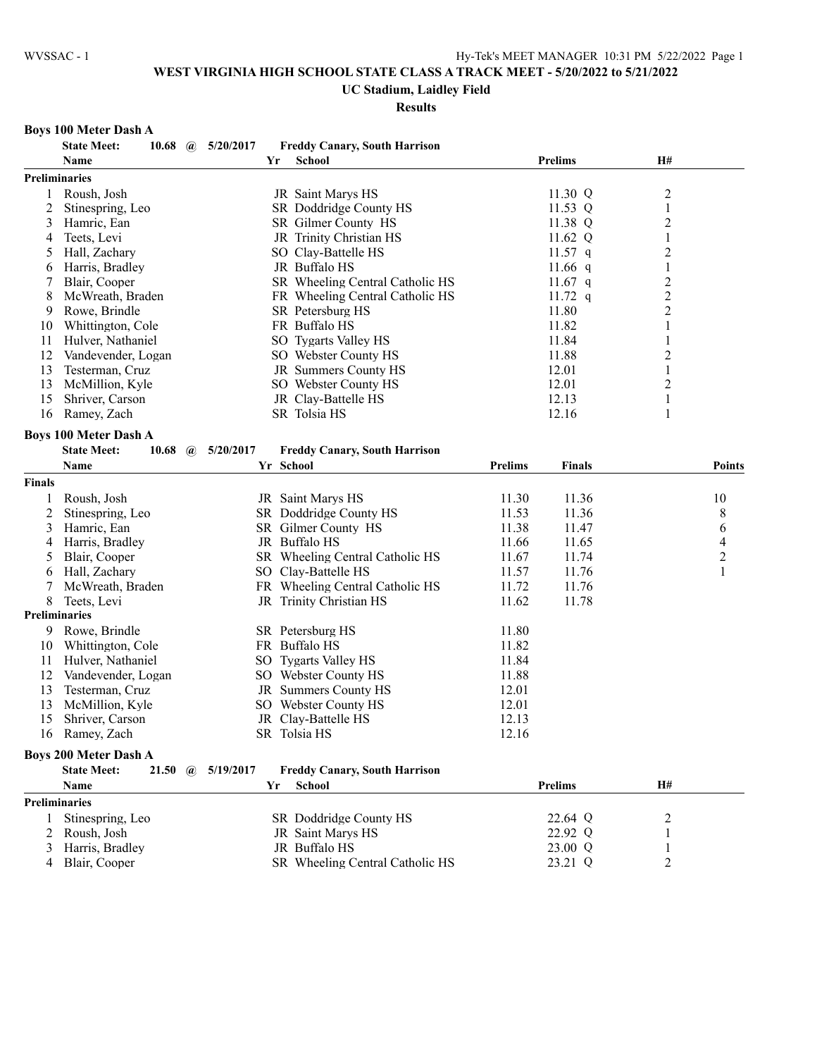## **UC Stadium, Laidley Field**

#### **Results**

#### **Boys 100 Meter Dash A**

|               | <b>State Meet:</b><br>10.68  | $\omega$ | 5/20/2017 |    | <b>Freddy Canary, South Harrison</b> |                |                |                         |                          |
|---------------|------------------------------|----------|-----------|----|--------------------------------------|----------------|----------------|-------------------------|--------------------------|
|               | Name                         |          |           | Yr | <b>School</b>                        |                | <b>Prelims</b> | <b>H#</b>               |                          |
|               | Preliminaries                |          |           |    |                                      |                |                |                         |                          |
| 1             | Roush, Josh                  |          |           |    | JR Saint Marys HS                    |                | 11.30 Q        | 2                       |                          |
| 2             | Stinespring, Leo             |          |           |    | SR Doddridge County HS               |                | 11.53 Q        | $\mathbf{1}$            |                          |
| 3             | Hamric, Ean                  |          |           |    | SR Gilmer County HS                  |                | 11.38 Q        | 2                       |                          |
| 4             | Teets, Levi                  |          |           |    | JR Trinity Christian HS              |                | 11.62 Q        | $\mathbf{1}$            |                          |
| 5             | Hall, Zachary                |          |           |    | SO Clay-Battelle HS                  |                | 11.57 $q$      | $\overline{\mathbf{c}}$ |                          |
| 6             | Harris, Bradley              |          |           |    | JR Buffalo HS                        |                | 11.66 $q$      | $\mathbf{1}$            |                          |
| 7             | Blair, Cooper                |          |           |    | SR Wheeling Central Catholic HS      |                | 11.67 $q$      |                         |                          |
| 8             | McWreath, Braden             |          |           |    | FR Wheeling Central Catholic HS      |                | 11.72 $q$      | $\frac{2}{2}$           |                          |
| 9             | Rowe, Brindle                |          |           |    | SR Petersburg HS                     |                | 11.80          | $\overline{c}$          |                          |
| 10            | Whittington, Cole            |          |           |    | FR Buffalo HS                        |                | 11.82          | $\mathbf{1}$            |                          |
| 11            | Hulver, Nathaniel            |          |           |    | SO Tygarts Valley HS                 |                | 11.84          | $\mathbf{1}$            |                          |
| 12            | Vandevender, Logan           |          |           |    | SO Webster County HS                 |                | 11.88          | $\overline{c}$          |                          |
| 13            | Testerman, Cruz              |          |           |    | JR Summers County HS                 |                | 12.01          | $\mathbf{1}$            |                          |
| 13            | McMillion, Kyle              |          |           |    | SO Webster County HS                 |                | 12.01          | 2                       |                          |
| 15            | Shriver, Carson              |          |           |    | JR Clay-Battelle HS                  |                | 12.13          | 1                       |                          |
| 16            | Ramey, Zach                  |          |           |    | SR Tolsia HS                         |                | 12.16          | 1                       |                          |
|               |                              |          |           |    |                                      |                |                |                         |                          |
|               | <b>Boys 100 Meter Dash A</b> |          |           |    |                                      |                |                |                         |                          |
|               | <b>State Meet:</b><br>10.68  | $\omega$ | 5/20/2017 |    | <b>Freddy Canary, South Harrison</b> |                |                |                         |                          |
|               | Name                         |          |           |    | Yr School                            | <b>Prelims</b> | <b>Finals</b>  |                         | <b>Points</b>            |
| <b>Finals</b> |                              |          |           |    |                                      |                |                |                         |                          |
| 1             | Roush, Josh                  |          |           |    | JR Saint Marys HS                    | 11.30          | 11.36          |                         | 10                       |
| 2             | Stinespring, Leo             |          |           |    | SR Doddridge County HS               | 11.53          | 11.36          |                         | 8                        |
| 3             | Hamric, Ean                  |          |           |    | SR Gilmer County HS                  | 11.38          | 11.47          |                         | 6                        |
| 4             | Harris, Bradley              |          |           |    | JR Buffalo HS                        | 11.66          | 11.65          |                         | $\overline{\mathcal{A}}$ |
| 5             | Blair, Cooper                |          |           |    | SR Wheeling Central Catholic HS      | 11.67          | 11.74          |                         | $\overline{c}$           |
| 6             | Hall, Zachary                |          |           |    | SO Clay-Battelle HS                  | 11.57          | 11.76          |                         | $\mathbf{1}$             |
| 7             | McWreath, Braden             |          |           |    | FR Wheeling Central Catholic HS      | 11.72          | 11.76          |                         |                          |
| 8             | Teets, Levi                  |          |           |    | JR Trinity Christian HS              | 11.62          | 11.78          |                         |                          |
|               | <b>Preliminaries</b>         |          |           |    |                                      |                |                |                         |                          |
| 9             | Rowe, Brindle                |          |           |    | SR Petersburg HS                     | 11.80          |                |                         |                          |
| 10            | Whittington, Cole            |          |           |    | FR Buffalo HS                        | 11.82          |                |                         |                          |
| 11            | Hulver, Nathaniel            |          |           |    | SO Tygarts Valley HS                 | 11.84          |                |                         |                          |
| 12            | Vandevender, Logan           |          |           |    | SO Webster County HS                 | 11.88          |                |                         |                          |
| 13            | Testerman, Cruz              |          |           |    | JR Summers County HS                 | 12.01          |                |                         |                          |
| 13            | McMillion, Kyle              |          |           |    | SO Webster County HS                 | 12.01          |                |                         |                          |
| 15            | Shriver, Carson              |          |           |    | JR Clay-Battelle HS                  | 12.13          |                |                         |                          |
| 16            | Ramey, Zach                  |          |           |    | SR Tolsia HS                         | 12.16          |                |                         |                          |
|               | <b>Boys 200 Meter Dash A</b> |          |           |    |                                      |                |                |                         |                          |
|               |                              |          |           |    |                                      |                |                |                         |                          |
|               | <b>State Meet:</b><br>21.50  | $\omega$ | 5/19/2017 |    | <b>Freddy Canary, South Harrison</b> |                |                |                         |                          |
|               | Name                         |          |           | Yr | <b>School</b>                        |                | <b>Prelims</b> | H#                      |                          |
|               | <b>Preliminaries</b>         |          |           |    |                                      |                |                |                         |                          |
| 1             | Stinespring, Leo             |          |           |    | SR Doddridge County HS               |                | 22.64 Q        | 2                       |                          |
| 2             | Roush, Josh                  |          |           |    | JR Saint Marys HS                    |                | 22.92 Q        |                         |                          |
| 3             | Harris, Bradley              |          |           |    | JR Buffalo HS                        |                | 23.00 Q        | 1                       |                          |
| 4             | Blair, Cooper                |          |           |    | SR Wheeling Central Catholic HS      |                | 23.21 Q        | 2                       |                          |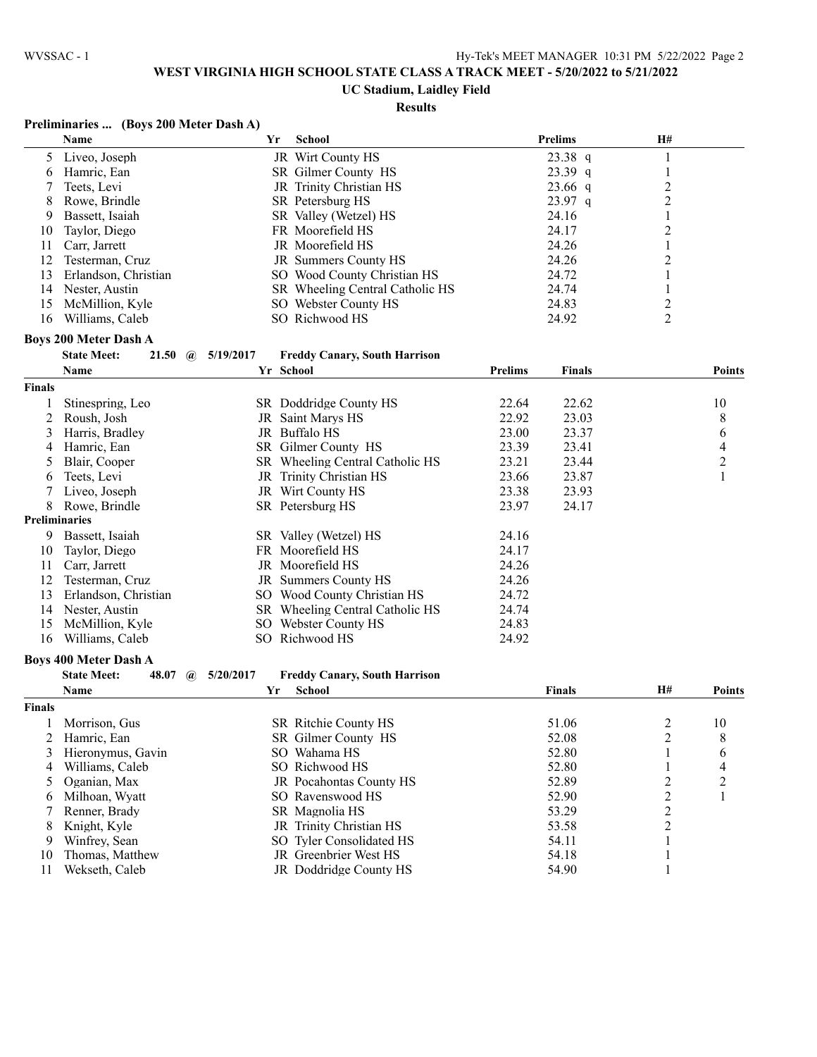#### **UC Stadium, Laidley Field**

#### **Results**

## **Preliminaries ... (Boys 200 Meter Dash A)**

|    | <b>Name</b>          | Yr | School                          | <b>Prelims</b> | <b>H#</b> |
|----|----------------------|----|---------------------------------|----------------|-----------|
|    | 5 Liveo, Joseph      |    | JR Wirt County HS               | $23.38$ q      |           |
| 6  | Hamric, Ean          |    | SR Gilmer County HS             | $23.39$ q      |           |
|    | Teets, Levi          |    | JR Trinity Christian HS         | $23.66$ q      |           |
|    | 8 Rowe, Brindle      |    | SR Petersburg HS                | $23.97$ q      |           |
| 9  | Bassett, Isaiah      |    | SR Valley (Wetzel) HS           | 24.16          |           |
| 10 | Taylor, Diego        |    | FR Moorefield HS                | 24.17          |           |
| 11 | Carr, Jarrett        |    | JR Moorefield HS                | 24.26          |           |
| 12 | Testerman, Cruz      |    | JR Summers County HS            | 24.26          |           |
| 13 | Erlandson, Christian |    | SO Wood County Christian HS     | 24.72          |           |
| 14 | Nester, Austin       |    | SR Wheeling Central Catholic HS | 24.74          |           |
| 15 | McMillion, Kyle      |    | SO Webster County HS            | 24.83          |           |
| 16 | Williams, Caleb      |    | SO Richwood HS                  | 24.92          |           |

#### **Boys 200 Meter Dash A**

| <b>State Meet:</b> |  | 21.50 (a) $5/19/2017$ | <b>Freddy Canary, South Harrison</b> |
|--------------------|--|-----------------------|--------------------------------------|
|                    |  |                       |                                      |

|                      | <b>Name</b>          |     | Yr School                    | <b>Prelims</b> | <b>Finals</b> | <b>Points</b> |
|----------------------|----------------------|-----|------------------------------|----------------|---------------|---------------|
| <b>Finals</b>        |                      |     |                              |                |               |               |
|                      | Stinespring, Leo     |     | SR Doddridge County HS       | 22.64          | 22.62         | 10            |
|                      | Roush, Josh          | JR  | Saint Marys HS               | 22.92          | 23.03         | 8             |
| 3                    | Harris, Bradley      | JR  | Buffalo HS                   | 23.00          | 23.37         | 6             |
| 4                    | Hamric, Ean          | SR  | Gilmer County HS             | 23.39          | 23.41         | 4             |
| 5.                   | Blair, Cooper        | SR  | Wheeling Central Catholic HS | 23.21          | 23.44         | 2             |
| 6                    | Teets, Levi          | JR  | Trinity Christian HS         | 23.66          | 23.87         |               |
|                      | Liveo, Joseph        |     | JR Wirt County HS            | 23.38          | 23.93         |               |
| 8                    | Rowe, Brindle        |     | SR Petersburg HS             | 23.97          | 24.17         |               |
| <b>Preliminaries</b> |                      |     |                              |                |               |               |
| 9                    | Bassett, Isaiah      |     | SR Valley (Wetzel) HS        | 24.16          |               |               |
| 10                   | Taylor, Diego        |     | FR Moorefield HS             | 24.17          |               |               |
| 11                   | Carr, Jarrett        |     | JR Moorefield HS             | 24.26          |               |               |
| 12                   | Testerman, Cruz      |     | JR Summers County HS         | 24.26          |               |               |
| 13                   | Erlandson, Christian | SO. | Wood County Christian HS     | 24.72          |               |               |
| 14                   | Nester, Austin       | SR. | Wheeling Central Catholic HS | 24.74          |               |               |
| 15                   | McMillion, Kyle      | SO. | Webster County HS            | 24.83          |               |               |
| 16                   | Williams, Caleb      | SO. | Richwood HS                  | 24.92          |               |               |

#### **Boys 400 Meter Dash A**

|               | 48.07<br><b>State Meet:</b><br>$\omega$ | 5/20/2017 | <b>Freddy Canary, South Harrison</b> |               |           |               |
|---------------|-----------------------------------------|-----------|--------------------------------------|---------------|-----------|---------------|
|               | <b>Name</b>                             | Yr        | School                               | <b>Finals</b> | <b>H#</b> | <b>Points</b> |
| <b>Finals</b> |                                         |           |                                      |               |           |               |
|               | Morrison, Gus                           |           | SR Ritchie County HS                 | 51.06         |           | 10            |
|               | Hamric, Ean                             |           | SR Gilmer County HS                  | 52.08         |           | 8             |
|               | Hieronymus, Gavin                       |           | SO Wahama HS                         | 52.80         |           | 6             |
| 4             | Williams, Caleb                         |           | SO Richwood HS                       | 52.80         |           | 4             |
|               | 5 Oganian, Max                          |           | JR Pocahontas County HS              | 52.89         |           | ↑             |
| 6.            | Milhoan, Wyatt                          |           | SO Ravenswood HS                     | 52.90         |           |               |
|               | Renner, Brady                           |           | SR Magnolia HS                       | 53.29         | C         |               |
| 8.            | Knight, Kyle                            |           | JR Trinity Christian HS              | 53.58         |           |               |
| 9             | Winfrey, Sean                           |           | SO Tyler Consolidated HS             | 54.11         |           |               |
| 10            | Thomas, Matthew                         |           | JR Greenbrier West HS                | 54.18         |           |               |
| 11            | Wekseth. Caleb                          |           | JR Doddridge County HS               | 54.90         |           |               |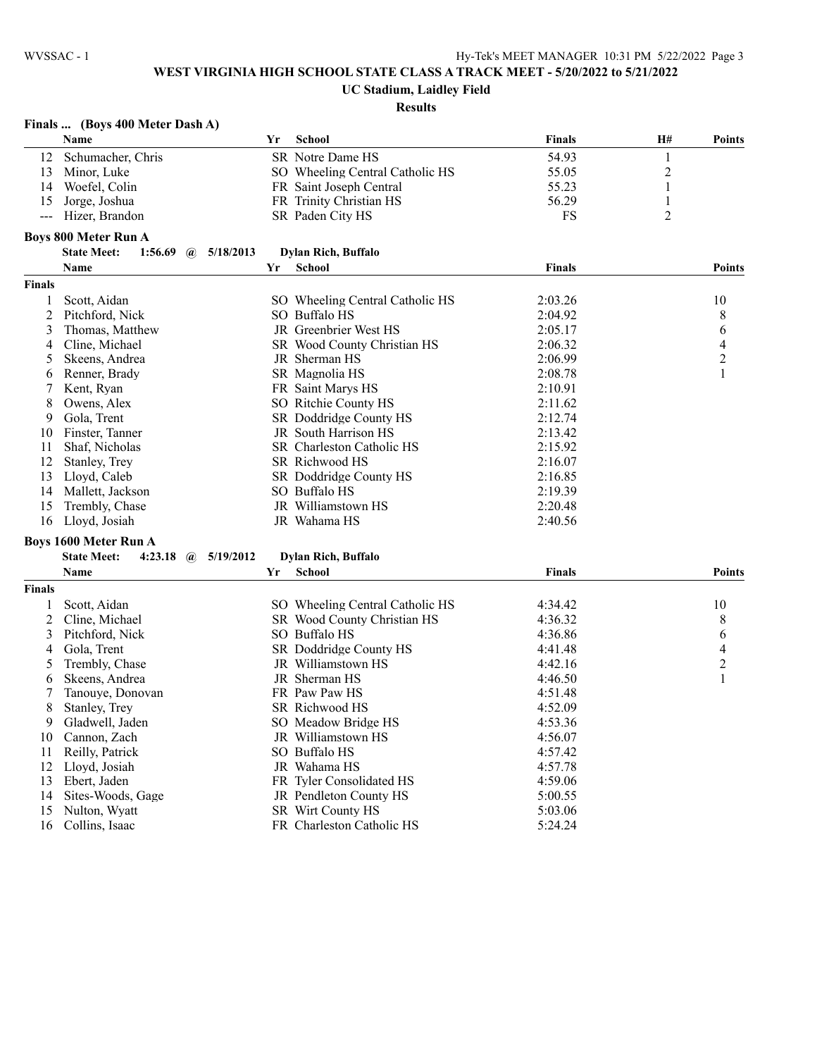# **UC Stadium, Laidley Field**

|               | Name                                                   | Yr | <b>School</b>                   | <b>Finals</b> | H#               | <b>Points</b>  |
|---------------|--------------------------------------------------------|----|---------------------------------|---------------|------------------|----------------|
| 12            | Schumacher, Chris                                      |    | SR Notre Dame HS                | 54.93         | 1                |                |
| 13            | Minor, Luke                                            |    | SO Wheeling Central Catholic HS | 55.05         | $\boldsymbol{2}$ |                |
| 14            | Woefel, Colin                                          |    | FR Saint Joseph Central         | 55.23         | 1                |                |
| 15            | Jorge, Joshua                                          |    | FR Trinity Christian HS         | 56.29         | 1                |                |
| $---$         | Hizer, Brandon                                         |    | SR Paden City HS                | FS            | $\overline{2}$   |                |
|               | <b>Boys 800 Meter Run A</b>                            |    |                                 |               |                  |                |
|               | <b>State Meet:</b><br>1:56.69<br>5/18/2013<br>$\omega$ |    | <b>Dylan Rich, Buffalo</b>      |               |                  |                |
|               | Name                                                   | Yr | <b>School</b>                   | <b>Finals</b> |                  | <b>Points</b>  |
| Finals        |                                                        |    |                                 |               |                  |                |
| 1             | Scott, Aidan                                           |    | SO Wheeling Central Catholic HS | 2:03.26       |                  | 10             |
| 2             | Pitchford, Nick                                        |    | SO Buffalo HS                   | 2:04.92       |                  | 8              |
| 3             | Thomas, Matthew                                        |    | JR Greenbrier West HS           | 2:05.17       |                  | 6              |
| 4             | Cline, Michael                                         |    | SR Wood County Christian HS     | 2:06.32       |                  | $\overline{4}$ |
| 5             | Skeens, Andrea                                         |    | JR Sherman HS                   | 2:06.99       |                  | $\overline{c}$ |
|               | Renner, Brady                                          |    | SR Magnolia HS                  | 2:08.78       |                  | 1              |
| 6             |                                                        |    | FR Saint Marys HS               | 2:10.91       |                  |                |
| 7             | Kent, Ryan<br>Owens, Alex                              |    | SO Ritchie County HS            | 2:11.62       |                  |                |
| 8             |                                                        |    |                                 |               |                  |                |
| 9             | Gola, Trent                                            |    | SR Doddridge County HS          | 2:12.74       |                  |                |
| 10            | Finster, Tanner                                        |    | JR South Harrison HS            | 2:13.42       |                  |                |
| 11            | Shaf, Nicholas                                         |    | SR Charleston Catholic HS       | 2:15.92       |                  |                |
| 12            | Stanley, Trey                                          |    | SR Richwood HS                  | 2:16.07       |                  |                |
| 13            | Lloyd, Caleb                                           |    | SR Doddridge County HS          | 2:16.85       |                  |                |
| 14            | Mallett, Jackson                                       |    | SO Buffalo HS                   | 2:19.39       |                  |                |
| 15            | Trembly, Chase                                         |    | JR Williamstown HS              | 2:20.48       |                  |                |
| 16            | Lloyd, Josiah                                          |    | JR Wahama HS                    | 2:40.56       |                  |                |
|               | <b>Boys 1600 Meter Run A</b>                           |    |                                 |               |                  |                |
|               | <b>State Meet:</b><br>4:23.18 $\omega$<br>5/19/2012    |    | <b>Dylan Rich, Buffalo</b>      |               |                  |                |
|               | Name                                                   | Yr | <b>School</b>                   | Finals        |                  | <b>Points</b>  |
| <b>Finals</b> |                                                        |    |                                 |               |                  |                |
|               | Scott, Aidan                                           |    | SO Wheeling Central Catholic HS | 4:34.42       |                  | 10             |
| 2             | Cline, Michael                                         |    | SR Wood County Christian HS     | 4:36.32       |                  | 8              |
| 3             | Pitchford, Nick                                        |    | SO Buffalo HS                   | 4:36.86       |                  | 6              |
| 4             | Gola, Trent                                            |    | SR Doddridge County HS          | 4:41.48       |                  | $\overline{4}$ |
| 5             | Trembly, Chase                                         |    | JR Williamstown HS              | 4:42.16       |                  | $\overline{c}$ |
| 6             | Skeens, Andrea                                         |    | JR Sherman HS                   | 4:46.50       |                  | 1              |
|               | Tanouye, Donovan                                       |    | FR Paw Paw HS                   | 4:51.48       |                  |                |
| 8             | Stanley, Trey                                          |    | SR Richwood HS                  | 4:52.09       |                  |                |
| 9             | Gladwell, Jaden                                        |    | SO Meadow Bridge HS             | 4:53.36       |                  |                |
| 10            | Cannon, Zach                                           |    | JR Williamstown HS              | 4:56.07       |                  |                |
| 11            | Reilly, Patrick                                        |    | SO Buffalo HS                   | 4:57.42       |                  |                |
| 12            | Lloyd, Josiah                                          |    | JR Wahama HS                    | 4:57.78       |                  |                |
| 13            | Ebert, Jaden                                           |    | FR Tyler Consolidated HS        | 4:59.06       |                  |                |
| 14            | Sites-Woods, Gage                                      |    | JR Pendleton County HS          | 5:00.55       |                  |                |
| 15            | Nulton, Wyatt                                          |    | SR Wirt County HS               | 5:03.06       |                  |                |
| 16            | Collins, Isaac                                         |    | FR Charleston Catholic HS       | 5:24.24       |                  |                |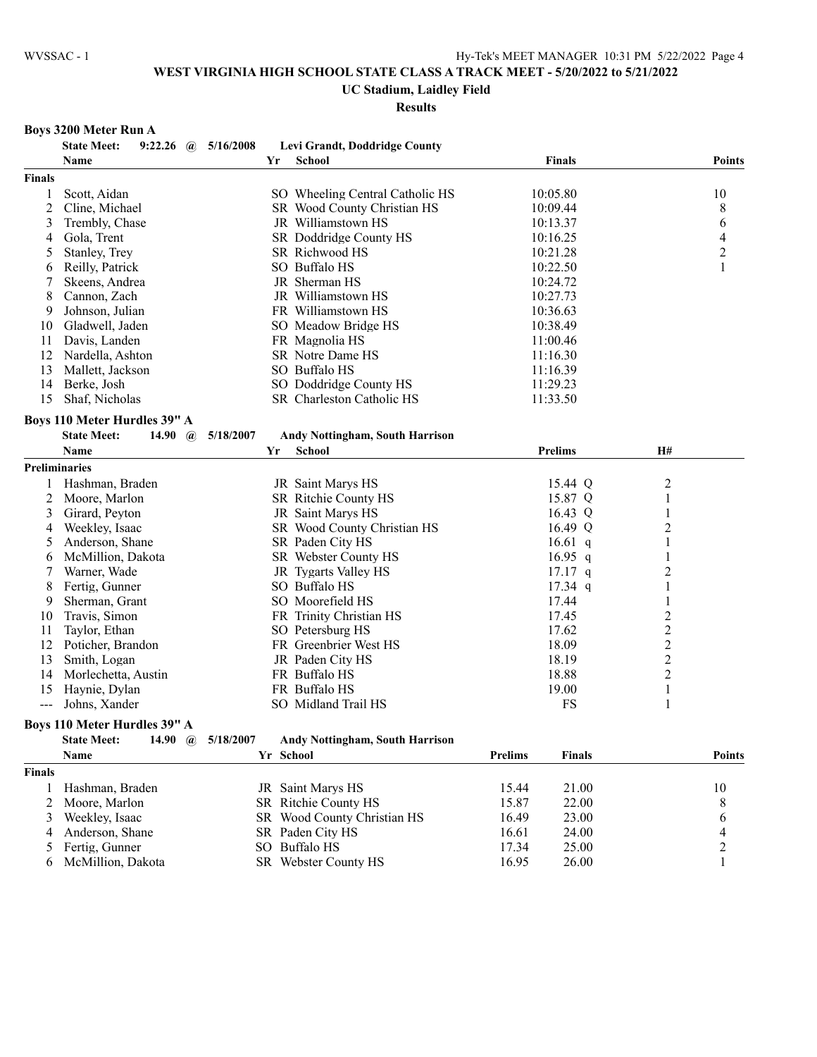#### **UC Stadium, Laidley Field**

**Results**

#### **Boys 3200 Meter Run A**

|                | <b>State Meet:</b><br>9:22.26        | 5/16/2008<br>$\mathbf{a}$ | Levi Grandt, Doddridge County          |                                 |                |
|----------------|--------------------------------------|---------------------------|----------------------------------------|---------------------------------|----------------|
|                | Name                                 |                           | <b>School</b><br>Yr                    | <b>Finals</b>                   | <b>Points</b>  |
| <b>Finals</b>  |                                      |                           |                                        |                                 |                |
| 1              | Scott, Aidan                         |                           | SO Wheeling Central Catholic HS        | 10:05.80                        | 10             |
| $\overline{c}$ | Cline, Michael                       |                           | SR Wood County Christian HS            | 10:09.44                        | 8              |
| 3              | Trembly, Chase                       |                           | JR Williamstown HS                     | 10:13.37                        | 6              |
| 4              | Gola, Trent                          |                           | SR Doddridge County HS                 | 10:16.25                        | 4              |
| 5              | Stanley, Trey                        |                           | SR Richwood HS                         | 10:21.28                        | $\overline{2}$ |
| 6              | Reilly, Patrick                      |                           | SO Buffalo HS                          | 10:22.50                        | 1              |
| 7              | Skeens, Andrea                       |                           | JR Sherman HS                          | 10:24.72                        |                |
| 8              | Cannon, Zach                         |                           | JR Williamstown HS                     | 10:27.73                        |                |
| 9              | Johnson, Julian                      |                           | FR Williamstown HS                     | 10:36.63                        |                |
| 10             | Gladwell, Jaden                      |                           | SO Meadow Bridge HS                    | 10:38.49                        |                |
| 11             | Davis, Landen                        |                           | FR Magnolia HS                         | 11:00.46                        |                |
| 12             | Nardella, Ashton                     |                           | SR Notre Dame HS                       | 11:16.30                        |                |
| 13             | Mallett, Jackson                     |                           | SO Buffalo HS                          | 11:16.39                        |                |
| 14             | Berke, Josh                          |                           | SO Doddridge County HS                 | 11:29.23                        |                |
| 15             | Shaf, Nicholas                       |                           | SR Charleston Catholic HS              | 11:33.50                        |                |
|                | Boys 110 Meter Hurdles 39" A         |                           |                                        |                                 |                |
|                | <b>State Meet:</b><br>14.90          | $\mathbf{a}$<br>5/18/2007 | <b>Andy Nottingham, South Harrison</b> |                                 |                |
|                | Name                                 |                           | <b>School</b><br>Yr                    | <b>Prelims</b>                  | <b>H#</b>      |
|                | <b>Preliminaries</b>                 |                           |                                        |                                 |                |
| 1              | Hashman, Braden                      |                           | JR Saint Marys HS                      | 15.44 Q                         | 2              |
| 2              | Moore, Marlon                        |                           | SR Ritchie County HS                   | 15.87 Q                         | 1              |
| 3              | Girard, Peyton                       |                           | JR Saint Marys HS                      | 16.43 Q                         | 1              |
| 4              | Weekley, Isaac                       |                           | SR Wood County Christian HS            | 16.49 Q                         | 2              |
| 5              | Anderson, Shane                      |                           | SR Paden City HS                       | 16.61 q                         | 1              |
| 6              | McMillion, Dakota                    |                           | SR Webster County HS                   | 16.95 $q$                       | 1              |
| 7              | Warner, Wade                         |                           | JR Tygarts Valley HS                   | $17.17$ q                       | $\overline{c}$ |
| 8              | Fertig, Gunner                       |                           | SO Buffalo HS                          | $17.34$ q                       | 1              |
| 9              | Sherman, Grant                       |                           | SO Moorefield HS                       | 17.44                           | 1              |
| 10             | Travis, Simon                        |                           | FR Trinity Christian HS                | 17.45                           | $\overline{c}$ |
| 11             | Taylor, Ethan                        |                           | SO Petersburg HS                       | 17.62                           | $\overline{c}$ |
| 12             | Poticher, Brandon                    |                           | FR Greenbrier West HS                  | 18.09                           | $\overline{c}$ |
| 13             | Smith, Logan                         |                           | JR Paden City HS                       | 18.19                           | $\overline{c}$ |
| 14             | Morlechetta, Austin                  |                           | FR Buffalo HS                          | 18.88                           | $\overline{c}$ |
| 15             | Haynie, Dylan                        |                           | FR Buffalo HS                          | 19.00                           | $\mathbf{1}$   |
| $ -$           | Johns, Xander                        |                           | SO Midland Trail HS                    | <b>FS</b>                       | 1              |
|                | Boys 110 Meter Hurdles 39" A         |                           |                                        |                                 |                |
|                | <b>State Meet:</b><br>14.90 $\omega$ | 5/18/2007                 | <b>Andy Nottingham, South Harrison</b> |                                 |                |
|                | Name                                 |                           | Yr School                              | <b>Prelims</b><br><b>Finals</b> | <b>Points</b>  |
| <b>Finals</b>  |                                      |                           |                                        |                                 |                |

1 Hashman, Braden JR Saint Marys HS 15.44 21.00 10<br>2 Moore, Marlon SR Ritchie County HS 15.87 22.00 8 2 Moore, Marlon SR Ritchie County HS 15.87 22.00 8<br>3 Weekley, Isaac SR Wood County Christian HS 16.49 23.00 6

4 Anderson, Shane SR Paden City HS 16.61 24.00 4<br>5 Fertig, Gunner SO Buffalo HS 17.34 25.00 2 5 Fertig, Gunner SO Buffalo HS 17.34 25.00 2<br>6 McMillion, Dakota SR Webster County HS 16.95 26.00 1

SR Webster County HS

SR Wood County Christian HS 16.49 23.00 6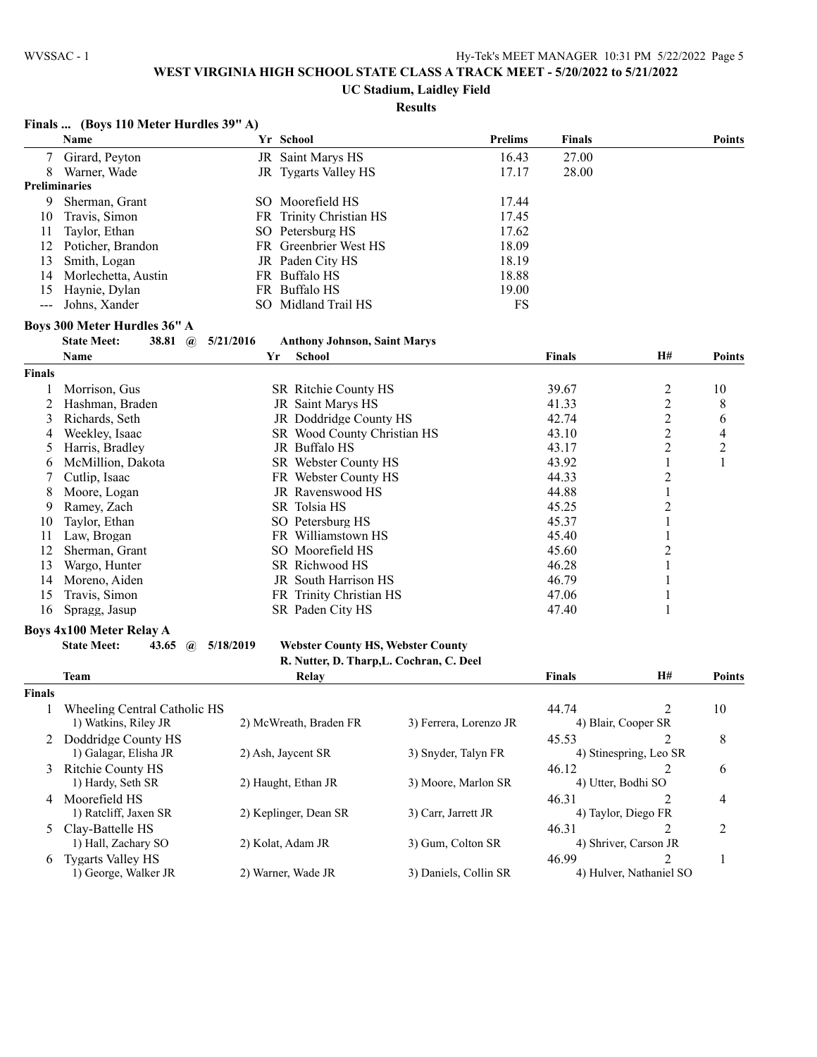# **UC Stadium, Laidley Field**

|               | Finals  (Boys 110 Meter Hurdles 39" A)      |           |                                          |                        |                    |                         |                          |
|---------------|---------------------------------------------|-----------|------------------------------------------|------------------------|--------------------|-------------------------|--------------------------|
|               | Name                                        |           | Yr School                                | <b>Prelims</b>         | <b>Finals</b>      |                         | <b>Points</b>            |
|               | Girard, Peyton                              |           | JR Saint Marys HS                        | 16.43                  | 27.00              |                         |                          |
| 8             | Warner, Wade                                |           | JR Tygarts Valley HS                     | 17.17                  | 28.00              |                         |                          |
|               | <b>Preliminaries</b>                        |           |                                          |                        |                    |                         |                          |
| 9             | Sherman, Grant                              |           | SO Moorefield HS                         | 17.44                  |                    |                         |                          |
| 10            | Travis, Simon                               |           | FR Trinity Christian HS                  | 17.45                  |                    |                         |                          |
| 11            | Taylor, Ethan                               |           | SO Petersburg HS                         | 17.62                  |                    |                         |                          |
| 12            | Poticher, Brandon                           |           | FR Greenbrier West HS                    | 18.09                  |                    |                         |                          |
| 13            | Smith, Logan                                |           | JR Paden City HS                         | 18.19                  |                    |                         |                          |
| 14            | Morlechetta, Austin                         |           | FR Buffalo HS                            | 18.88                  |                    |                         |                          |
| 15            | Haynie, Dylan                               |           | FR Buffalo HS                            | 19.00                  |                    |                         |                          |
| $\frac{1}{2}$ | Johns, Xander                               |           | SO Midland Trail HS                      | <b>FS</b>              |                    |                         |                          |
|               | Boys 300 Meter Hurdles 36" A                |           |                                          |                        |                    |                         |                          |
|               | <b>State Meet:</b><br>38.81<br>$\mathbf{a}$ | 5/21/2016 | <b>Anthony Johnson, Saint Marys</b>      |                        |                    |                         |                          |
|               | Name                                        | Yr        | <b>School</b>                            |                        | Finals             | H#                      | <b>Points</b>            |
| <b>Finals</b> |                                             |           |                                          |                        |                    |                         |                          |
|               | Morrison, Gus                               |           | SR Ritchie County HS                     |                        | 39.67              | $\overline{c}$          | 10                       |
| 2             | Hashman, Braden                             |           | JR Saint Marys HS                        |                        | 41.33              | $\overline{2}$          | 8                        |
| 3             | Richards, Seth                              |           | JR Doddridge County HS                   |                        | 42.74              | $\overline{c}$          | 6                        |
| 4             | Weekley, Isaac                              |           | SR Wood County Christian HS              |                        | 43.10              | $\overline{c}$          | $\overline{\mathcal{L}}$ |
| 5             | Harris, Bradley                             |           | JR Buffalo HS                            |                        | 43.17              | $\overline{c}$          | $\overline{c}$           |
| 6             | McMillion, Dakota                           |           | SR Webster County HS                     |                        | 43.92              | 1                       | $\mathbf{1}$             |
|               | Cutlip, Isaac                               |           | FR Webster County HS                     |                        | 44.33              | $\overline{2}$          |                          |
| 8             | Moore, Logan                                |           | JR Ravenswood HS                         |                        | 44.88              | $\mathbf{1}$            |                          |
| 9             | Ramey, Zach                                 |           | SR Tolsia HS                             |                        | 45.25              | $\overline{2}$          |                          |
| 10            | Taylor, Ethan                               |           | SO Petersburg HS                         |                        | 45.37              | 1                       |                          |
| 11            | Law, Brogan                                 |           | FR Williamstown HS                       |                        | 45.40              | 1                       |                          |
| 12            | Sherman, Grant                              |           | SO Moorefield HS                         |                        | 45.60              | 2                       |                          |
| 13            | Wargo, Hunter                               |           | SR Richwood HS                           |                        | 46.28              | 1                       |                          |
| 14            | Moreno, Aiden                               |           | JR South Harrison HS                     |                        | 46.79              | 1                       |                          |
| 15            | Travis, Simon                               |           | FR Trinity Christian HS                  |                        | 47.06              | $\mathbf{1}$            |                          |
| 16            | Spragg, Jasup                               |           | SR Paden City HS                         |                        | 47.40              | $\mathbf{1}$            |                          |
|               |                                             |           |                                          |                        |                    |                         |                          |
|               | <b>Boys 4x100 Meter Relay A</b>             |           |                                          |                        |                    |                         |                          |
|               | <b>State Meet:</b><br>43.65<br>$\mathbf{a}$ | 5/18/2019 | <b>Webster County HS, Webster County</b> |                        |                    |                         |                          |
|               |                                             |           | R. Nutter, D. Tharp, L. Cochran, C. Deel |                        |                    |                         |                          |
|               | Team                                        |           | Relay                                    |                        | Finals             | H#                      | <b>Points</b>            |
| <b>Finals</b> |                                             |           |                                          |                        |                    |                         |                          |
|               | Wheeling Central Catholic HS                |           |                                          |                        | 44.74              | $\overline{c}$          | 10                       |
|               | 1) Watkins, Riley JR                        |           | 2) McWreath, Braden FR                   | 3) Ferrera, Lorenzo JR |                    | 4) Blair, Cooper SR     |                          |
|               | 2 Doddridge County HS                       |           |                                          |                        | 45.53              | 2                       | 8                        |
|               | 1) Galagar, Elisha JR                       |           | 2) Ash, Jaycent SR                       | 3) Snyder, Talyn FR    |                    | 4) Stinespring, Leo SR  |                          |
| 3             | Ritchie County HS                           |           |                                          |                        | 46.12              | 2                       | 6                        |
|               | 1) Hardy, Seth SR                           |           | 2) Haught, Ethan JR                      | 3) Moore, Marlon SR    | 4) Utter, Bodhi SO |                         |                          |
|               | 4 Moorefield HS                             |           |                                          |                        | 46.31              | 2                       | 4                        |
|               | 1) Ratcliff, Jaxen SR                       |           | 2) Keplinger, Dean SR                    | 3) Carr, Jarrett JR    |                    | 4) Taylor, Diego FR     |                          |
|               | 5 Clay-Battelle HS                          |           |                                          |                        | 46.31              | 2                       | 2                        |
|               | 1) Hall, Zachary SO                         |           | 2) Kolat, Adam JR                        | 3) Gum, Colton SR      |                    | 4) Shriver, Carson JR   |                          |
| 6             | <b>Tygarts Valley HS</b>                    |           |                                          |                        | 46.99              | 2                       | $\mathbf{1}$             |
|               | 1) George, Walker JR                        |           | 2) Warner, Wade JR                       | 3) Daniels, Collin SR  |                    | 4) Hulver, Nathaniel SO |                          |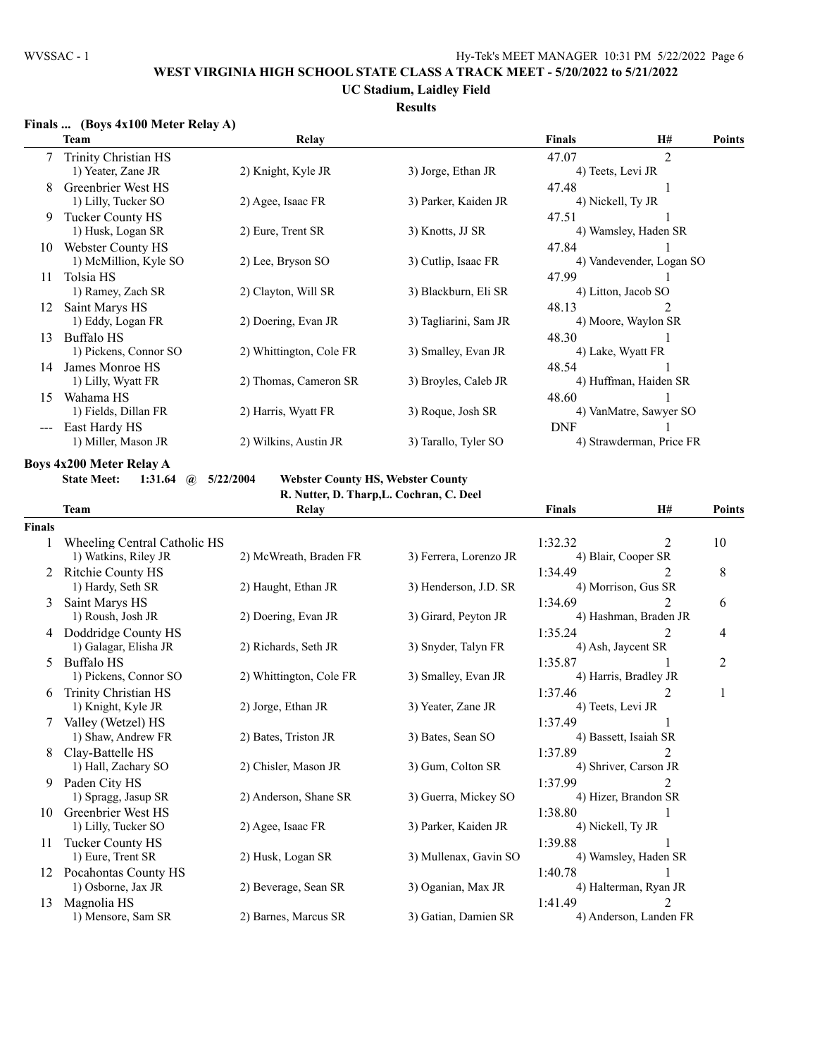## **UC Stadium, Laidley Field**

## **Results**

## **Finals ... (Boys 4x100 Meter Relay A)**

|    | Team                   | Relay                   |                       | <b>Finals</b> | <b>H#</b>                | <b>Points</b> |
|----|------------------------|-------------------------|-----------------------|---------------|--------------------------|---------------|
|    | 7 Trinity Christian HS |                         |                       | 47.07         | $\overline{2}$           |               |
|    | 1) Yeater, Zane JR     | 2) Knight, Kyle JR      | 3) Jorge, Ethan JR    |               | 4) Teets, Levi JR        |               |
| 8  | Greenbrier West HS     |                         |                       | 47.48         |                          |               |
|    | 1) Lilly, Tucker SO    | 2) Agee, Isaac FR       | 3) Parker, Kaiden JR  |               | 4) Nickell, Ty JR        |               |
| 9  | Tucker County HS       |                         |                       | 47.51         |                          |               |
|    | 1) Husk, Logan SR      | 2) Eure, Trent SR       | 3) Knotts, JJ SR      |               | 4) Wamsley, Haden SR     |               |
| 10 | Webster County HS      |                         |                       | 47.84         |                          |               |
|    | 1) McMillion, Kyle SO  | 2) Lee, Bryson SO       | 3) Cutlip, Isaac FR   |               | 4) Vandevender, Logan SO |               |
| 11 | Tolsia HS              |                         |                       | 47.99         |                          |               |
|    | 1) Ramey, Zach SR      | 2) Clayton, Will SR     | 3) Blackburn, Eli SR  |               | 4) Litton, Jacob SO      |               |
| 12 | Saint Marys HS         |                         |                       | 48.13         | $\mathfrak{D}_{1}^{(1)}$ |               |
|    | 1) Eddy, Logan FR      | 2) Doering, Evan JR     | 3) Tagliarini, Sam JR |               | 4) Moore, Waylon SR      |               |
| 13 | Buffalo HS             |                         |                       | 48.30         |                          |               |
|    | 1) Pickens, Connor SO  | 2) Whittington, Cole FR | 3) Smalley, Evan JR   |               | 4) Lake, Wyatt FR        |               |
| 14 | James Monroe HS        |                         |                       | 48.54         |                          |               |
|    | 1) Lilly, Wyatt FR     | 2) Thomas, Cameron SR   | 3) Broyles, Caleb JR  |               | 4) Huffman, Haiden SR    |               |
| 15 | Wahama HS              |                         |                       | 48.60         |                          |               |
|    | 1) Fields, Dillan FR   | 2) Harris, Wyatt FR     | 3) Roque, Josh SR     |               | 4) VanMatre, Sawyer SO   |               |
|    | East Hardy HS          |                         |                       | <b>DNF</b>    |                          |               |
|    | 1) Miller, Mason JR    | 2) Wilkins, Austin JR   | 3) Tarallo, Tyler SO  |               | 4) Strawderman, Price FR |               |

#### **Boys 4x200 Meter Relay A**

**State Meet: 1:31.64 @ 5/22/2004 Webster County HS, Webster County**

**R. Nutter, D. Tharp,L. Cochran, C. Deel**

|               | <b>Team</b>                  | Relay                   |                        | <b>Finals</b>     | H#                     | Points         |
|---------------|------------------------------|-------------------------|------------------------|-------------------|------------------------|----------------|
| <b>Finals</b> |                              |                         |                        |                   |                        |                |
|               | Wheeling Central Catholic HS |                         |                        | 1:32.32           | 2                      | 10             |
|               | 1) Watkins, Riley JR         | 2) McWreath, Braden FR  | 3) Ferrera, Lorenzo JR |                   | 4) Blair, Cooper SR    |                |
|               | <b>Ritchie County HS</b>     |                         |                        | 1:34.49           | 2                      | 8              |
|               | 1) Hardy, Seth SR            | 2) Haught, Ethan JR     | 3) Henderson, J.D. SR  |                   | 4) Morrison, Gus SR    |                |
| 3             | Saint Marys HS               |                         |                        | 1:34.69           | $\mathcal{L}$          | 6              |
|               | 1) Roush, Josh JR            | 2) Doering, Evan JR     | 3) Girard, Peyton JR   |                   | 4) Hashman, Braden JR  |                |
| 4             | Doddridge County HS          |                         |                        | 1:35.24           | 2                      | 4              |
|               | 1) Galagar, Elisha JR        | 2) Richards, Seth JR    | 3) Snyder, Talyn FR    |                   | 4) Ash, Jaycent SR     |                |
| 5             | <b>Buffalo HS</b>            |                         |                        | 1:35.87           |                        | $\overline{2}$ |
|               | 1) Pickens, Connor SO        | 2) Whittington, Cole FR | 3) Smalley, Evan JR    |                   | 4) Harris, Bradley JR  |                |
| 6             | Trinity Christian HS         |                         |                        | 1:37.46           | 2                      | 1              |
|               | 1) Knight, Kyle JR           | 2) Jorge, Ethan JR      | 3) Yeater, Zane JR     | 4) Teets, Levi JR |                        |                |
|               | Valley (Wetzel) HS           |                         |                        | 1:37.49           |                        |                |
|               | 1) Shaw, Andrew FR           | 2) Bates, Triston JR    | 3) Bates, Sean SO      |                   | 4) Bassett, Isaiah SR  |                |
|               | Clay-Battelle HS             |                         |                        | 1:37.89           | 2                      |                |
|               | 1) Hall, Zachary SO          | 2) Chisler, Mason JR    | 3) Gum, Colton SR      |                   | 4) Shriver, Carson JR  |                |
| 9             | Paden City HS                |                         |                        | 1:37.99           | 2                      |                |
|               | 1) Spragg, Jasup SR          | 2) Anderson, Shane SR   | 3) Guerra, Mickey SO   |                   | 4) Hizer, Brandon SR   |                |
| 10            | Greenbrier West HS           |                         |                        | 1:38.80           |                        |                |
|               | 1) Lilly, Tucker SO          | 2) Agee, Isaac FR       | 3) Parker, Kaiden JR   | 4) Nickell, Ty JR |                        |                |
| 11            | <b>Tucker County HS</b>      |                         |                        | 1:39.88           |                        |                |
|               | 1) Eure, Trent SR            | 2) Husk, Logan SR       | 3) Mullenax, Gavin SO  |                   | 4) Wamsley, Haden SR   |                |
| 12            | Pocahontas County HS         |                         |                        | 1:40.78           |                        |                |
|               | 1) Osborne, Jax JR           | 2) Beverage, Sean SR    | 3) Oganian, Max JR     |                   | 4) Halterman, Ryan JR  |                |
| 13            | Magnolia HS                  |                         |                        | 1:41.49           |                        |                |
|               | 1) Mensore, Sam SR           | 2) Barnes, Marcus SR    | 3) Gatian, Damien SR   |                   | 4) Anderson, Landen FR |                |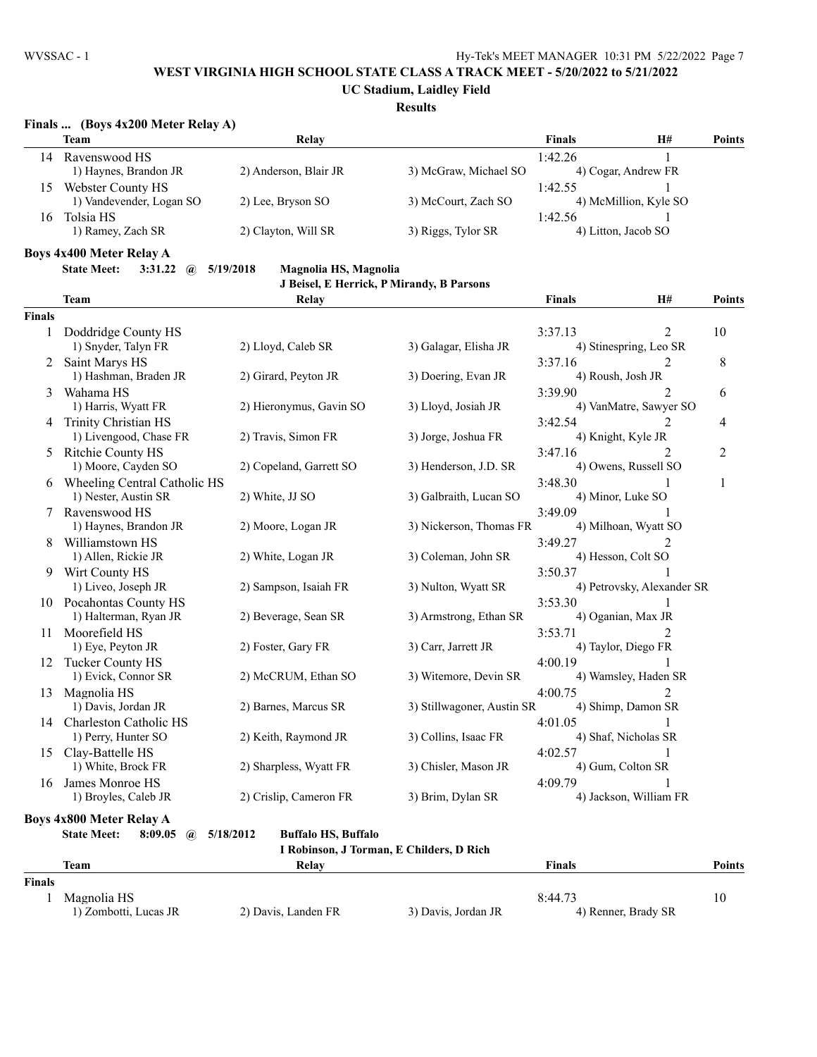**UC Stadium, Laidley Field**

## **Results**

## **Finals ... (Boys 4x200 Meter Relay A)**

| <b>Team</b>              | Relay                 |                       | <b>Finals</b> | H# | <b>Points</b>                                                       |
|--------------------------|-----------------------|-----------------------|---------------|----|---------------------------------------------------------------------|
| Ravenswood HS            |                       |                       | 1:42.26       |    |                                                                     |
| 1) Haynes, Brandon JR    | 2) Anderson, Blair JR | 3) McGraw, Michael SO |               |    |                                                                     |
| Webster County HS        |                       |                       | 1:42.55       |    |                                                                     |
| 1) Vandevender, Logan SO | 2) Lee, Bryson SO     | 3) McCourt, Zach SO   |               |    |                                                                     |
| Tolsia HS                |                       |                       | 1:42.56       |    |                                                                     |
| 1) Ramey, Zach SR        | 2) Clayton, Will SR   | 3) Riggs, Tylor SR    |               |    |                                                                     |
|                          |                       |                       |               |    | 4) Cogar, Andrew FR<br>4) McMillion, Kyle SO<br>4) Litton, Jacob SO |

**Boys 4x400 Meter Relay A**

**State Meet: 3:31.22 @ 5/19/2018 Magnolia HS, Magnolia**

|  | J Beisel, E Herrick, P Mirandy, B Parsons |  |
|--|-------------------------------------------|--|
|  |                                           |  |

|               | <b>Team</b>                                   | Relay                                    |                            | <b>Finals</b>          | H#                         | <b>Points</b>  |
|---------------|-----------------------------------------------|------------------------------------------|----------------------------|------------------------|----------------------------|----------------|
| <b>Finals</b> |                                               |                                          |                            |                        |                            |                |
| 1             | Doddridge County HS                           |                                          |                            | 3:37.13                | $\overline{2}$             | 10             |
|               | 1) Snyder, Talyn FR                           | 2) Lloyd, Caleb SR                       | 3) Galagar, Elisha JR      | 4) Stinespring, Leo SR |                            |                |
| 2             | Saint Marys HS                                |                                          |                            | 3:37.16                | 2                          | 8              |
|               | 1) Hashman, Braden JR                         | 2) Girard, Peyton JR                     | 3) Doering, Evan JR        | 4) Roush, Josh JR      |                            |                |
| 3             | Wahama HS                                     |                                          |                            | 3:39.90                | $\mathfrak{D}$             | 6              |
|               | 1) Harris, Wyatt FR                           | 2) Hieronymus, Gavin SO                  | 3) Lloyd, Josiah JR        |                        | 4) VanMatre, Sawyer SO     |                |
| 4             | Trinity Christian HS                          |                                          |                            | 3:42.54                | 2                          | $\overline{4}$ |
|               | 1) Livengood, Chase FR                        | 2) Travis, Simon FR                      | 3) Jorge, Joshua FR        | 4) Knight, Kyle JR     |                            |                |
| 5             | Ritchie County HS                             |                                          |                            | 3:47.16                | $\mathfrak{D}$             | $\overline{2}$ |
|               | 1) Moore, Cayden SO                           | 2) Copeland, Garrett SO                  | 3) Henderson, J.D. SR      | 4) Owens, Russell SO   |                            |                |
| 6             | Wheeling Central Catholic HS                  |                                          |                            | 3:48.30                |                            | 1              |
|               | 1) Nester, Austin SR                          | 2) White, JJ SO                          | 3) Galbraith, Lucan SO     | 4) Minor, Luke SO      |                            |                |
| 7             | Ravenswood HS                                 |                                          |                            | 3:49.09                |                            |                |
|               | 1) Haynes, Brandon JR                         | 2) Moore, Logan JR                       | 3) Nickerson, Thomas FR    | 4) Milhoan, Wyatt SO   |                            |                |
| 8             | Williamstown HS                               |                                          |                            | 3:49.27                | $\mathfrak{D}$             |                |
|               | 1) Allen, Rickie JR                           | 2) White, Logan JR                       | 3) Coleman, John SR        | 4) Hesson, Colt SO     |                            |                |
| 9             | Wirt County HS                                |                                          |                            | 3:50.37                |                            |                |
|               | 1) Liveo, Joseph JR                           | 2) Sampson, Isaiah FR                    | 3) Nulton, Wyatt SR        |                        | 4) Petrovsky, Alexander SR |                |
| 10            | Pocahontas County HS                          |                                          |                            | 3:53.30                |                            |                |
|               | 1) Halterman, Ryan JR                         | 2) Beverage, Sean SR                     | 3) Armstrong, Ethan SR     | 4) Oganian, Max JR     |                            |                |
| 11            | Moorefield HS                                 |                                          |                            | 3:53.71                | $\mathfrak{D}$             |                |
|               | 1) Eye, Peyton JR                             | 2) Foster, Gary FR                       | 3) Carr, Jarrett JR        | 4) Taylor, Diego FR    |                            |                |
| 12            | Tucker County HS                              |                                          |                            | 4:00.19                |                            |                |
|               | 1) Evick, Connor SR                           | 2) McCRUM, Ethan SO                      | 3) Witemore, Devin SR      | 4) Wamsley, Haden SR   |                            |                |
| 13            | Magnolia HS                                   |                                          |                            | 4:00.75                | $\mathcal{D}$              |                |
|               | 1) Davis, Jordan JR                           | 2) Barnes, Marcus SR                     | 3) Stillwagoner, Austin SR | 4) Shimp, Damon SR     |                            |                |
| 14            | Charleston Catholic HS                        |                                          |                            | 4:01.05                |                            |                |
|               | 1) Perry, Hunter SO                           | 2) Keith, Raymond JR                     | 3) Collins, Isaac FR       | 4) Shaf, Nicholas SR   |                            |                |
| 15            | Clay-Battelle HS                              |                                          |                            | 4:02.57                |                            |                |
|               | 1) White, Brock FR                            | 2) Sharpless, Wyatt FR                   | 3) Chisler, Mason JR       | 4) Gum, Colton SR      |                            |                |
| 16            | James Monroe HS                               |                                          |                            | 4:09.79                |                            |                |
|               | 1) Broyles, Caleb JR                          | 2) Crislip, Cameron FR                   | 3) Brim, Dylan SR          | 4) Jackson, William FR |                            |                |
|               |                                               |                                          |                            |                        |                            |                |
|               | <b>Boys 4x800 Meter Relay A</b>               |                                          |                            |                        |                            |                |
|               | <b>State Meet:</b><br>8:09.05<br>$\mathbf{a}$ | 5/18/2012<br><b>Buffalo HS, Buffalo</b>  |                            |                        |                            |                |
|               |                                               | I Robinson, J Torman, E Childers, D Rich |                            |                        |                            |                |

|               | <b>Team</b>           | Relav               |                     | <b>Finals</b>       | Points |
|---------------|-----------------------|---------------------|---------------------|---------------------|--------|
| <b>Finals</b> |                       |                     |                     |                     |        |
|               | Magnolia HS           |                     |                     | 8:44.73             |        |
|               | 1) Zombotti, Lucas JR | 2) Davis, Landen FR | 3) Davis, Jordan JR | 4) Renner, Brady SR |        |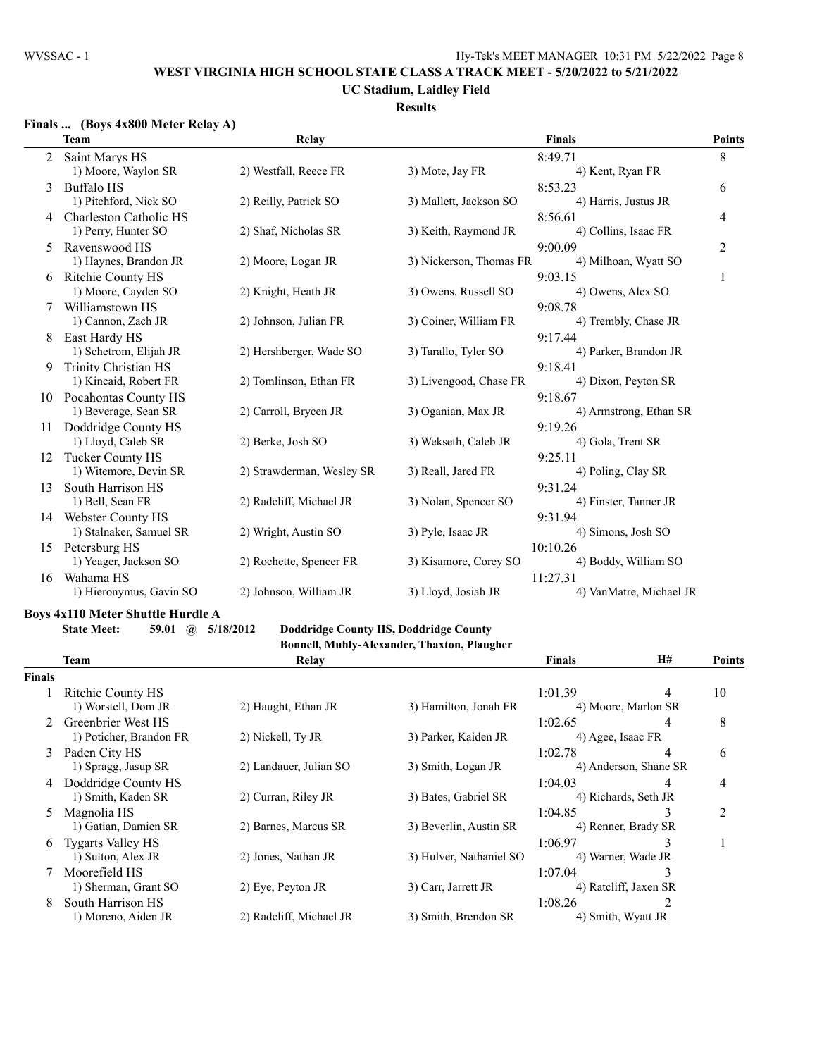## **UC Stadium, Laidley Field**

## **Results**

## **Finals ... (Boys 4x800 Meter Relay A)**

|    | <b>Team</b>              | Relay                     |                         | <b>Finals</b>           | <b>Points</b>  |
|----|--------------------------|---------------------------|-------------------------|-------------------------|----------------|
| 2  | Saint Marys HS           |                           |                         | 8:49.71                 | 8              |
|    | 1) Moore, Waylon SR      | 2) Westfall, Reece FR     | 3) Mote, Jay FR         | 4) Kent, Ryan FR        |                |
| 3  | <b>Buffalo HS</b>        |                           |                         | 8:53.23                 | 6              |
|    | 1) Pitchford, Nick SO    | 2) Reilly, Patrick SO     | 3) Mallett, Jackson SO  | 4) Harris, Justus JR    |                |
| 4  | Charleston Catholic HS   |                           |                         | 8:56.61                 | 4              |
|    | 1) Perry, Hunter SO      | 2) Shaf, Nicholas SR      | 3) Keith, Raymond JR    | 4) Collins, Isaac FR    |                |
| 5  | Ravenswood HS            |                           |                         | 9:00.09                 | $\overline{2}$ |
|    | 1) Haynes, Brandon JR    | 2) Moore, Logan JR        | 3) Nickerson, Thomas FR | 4) Milhoan, Wyatt SO    |                |
| 6  | <b>Ritchie County HS</b> |                           |                         | 9:03.15                 | 1              |
|    | 1) Moore, Cayden SO      | 2) Knight, Heath JR       | 3) Owens, Russell SO    | 4) Owens, Alex SO       |                |
|    | Williamstown HS          |                           |                         | 9:08.78                 |                |
|    | 1) Cannon, Zach JR       | 2) Johnson, Julian FR     | 3) Coiner, William FR   | 4) Trembly, Chase JR    |                |
| 8  | East Hardy HS            |                           |                         | 9:17.44                 |                |
|    | 1) Schetrom, Elijah JR   | 2) Hershberger, Wade SO   | 3) Tarallo, Tyler SO    | 4) Parker, Brandon JR   |                |
| 9  | Trinity Christian HS     |                           |                         | 9:18.41                 |                |
|    | 1) Kincaid, Robert FR    | 2) Tomlinson, Ethan FR    | 3) Livengood, Chase FR  | 4) Dixon, Peyton SR     |                |
|    | 10 Pocahontas County HS  |                           |                         | 9:18.67                 |                |
|    | 1) Beverage, Sean SR     | 2) Carroll, Brycen JR     | 3) Oganian, Max JR      | 4) Armstrong, Ethan SR  |                |
| 11 | Doddridge County HS      |                           |                         | 9:19.26                 |                |
|    | 1) Lloyd, Caleb SR       | 2) Berke, Josh SO         | 3) Wekseth, Caleb JR    | 4) Gola, Trent SR       |                |
| 12 | <b>Tucker County HS</b>  |                           |                         | 9:25.11                 |                |
|    | 1) Witemore, Devin SR    | 2) Strawderman, Wesley SR | 3) Reall, Jared FR      | 4) Poling, Clay SR      |                |
| 13 | South Harrison HS        |                           |                         | 9:31.24                 |                |
|    | 1) Bell, Sean FR         | 2) Radcliff, Michael JR   | 3) Nolan, Spencer SO    | 4) Finster, Tanner JR   |                |
| 14 | <b>Webster County HS</b> |                           |                         | 9:31.94                 |                |
|    | 1) Stalnaker, Samuel SR  | 2) Wright, Austin SO      | 3) Pyle, Isaac JR       | 4) Simons, Josh SO      |                |
| 15 | Petersburg HS            |                           |                         | 10:10.26                |                |
|    | 1) Yeager, Jackson SO    | 2) Rochette, Spencer FR   | 3) Kisamore, Corey SO   | 4) Boddy, William SO    |                |
| 16 | Wahama HS                |                           |                         | 11:27.31                |                |
|    | 1) Hieronymus, Gavin SO  | 2) Johnson, William JR    | 3) Lloyd, Josiah JR     | 4) VanMatre, Michael JR |                |

#### **Boys 4x110 Meter Shuttle Hurdle A**

**State Meet: 59.01 @ 5/18/2012 Doddridge County HS, Doddridge County**

# **Bonnell, Muhly-Alexander, Thaxton, Plaugher**

|               | Team                     | Relay                   |                         | <b>Finals</b>         | <b>H#</b>             | <b>Points</b>  |
|---------------|--------------------------|-------------------------|-------------------------|-----------------------|-----------------------|----------------|
| <b>Finals</b> |                          |                         |                         |                       |                       |                |
|               | Ritchie County HS        |                         |                         | 1:01.39               | 4                     | 10             |
|               | 1) Worstell, Dom JR      | 2) Haught, Ethan JR     | 3) Hamilton, Jonah FR   |                       | 4) Moore, Marlon SR   |                |
| $2^{\circ}$   | Greenbrier West HS       |                         |                         | 1:02.65               | 4                     | 8              |
|               | 1) Poticher, Brandon FR  | 2) Nickell, Ty JR       | 3) Parker, Kaiden JR    |                       | 4) Agee, Isaac FR     |                |
| $\mathcal{E}$ | Paden City HS            |                         |                         | 1:02.78               | 4                     | 6              |
|               | 1) Spragg, Jasup SR      | 2) Landauer, Julian SO  | 3) Smith, Logan JR      |                       | 4) Anderson, Shane SR |                |
| 4             | Doddridge County HS      |                         |                         | 1:04.03               | 4                     | $\overline{4}$ |
|               | 1) Smith, Kaden SR       | 2) Curran, Riley JR     | 3) Bates, Gabriel SR    |                       | 4) Richards, Seth JR  |                |
| 5.            | Magnolia HS              |                         |                         | 1:04.85               | 3                     | $\overline{2}$ |
|               | 1) Gatian, Damien SR     | 2) Barnes, Marcus SR    | 3) Beverlin, Austin SR  |                       | 4) Renner, Brady SR   |                |
| 6             | <b>Tygarts Valley HS</b> |                         |                         | 1:06.97               | 3                     |                |
|               | 1) Sutton, Alex JR       | 2) Jones, Nathan JR     | 3) Hulver, Nathaniel SO |                       | 4) Warner, Wade JR    |                |
|               | Moorefield HS            |                         |                         | 1:07.04               | 3                     |                |
|               | 1) Sherman, Grant SO     | 2) Eye, Peyton JR       | 3) Carr, Jarrett JR     | 4) Ratcliff, Jaxen SR |                       |                |
| 8             | South Harrison HS        |                         |                         | 1:08.26               |                       |                |
|               | 1) Moreno, Aiden JR      | 2) Radcliff, Michael JR | 3) Smith, Brendon SR    |                       | 4) Smith, Wyatt JR    |                |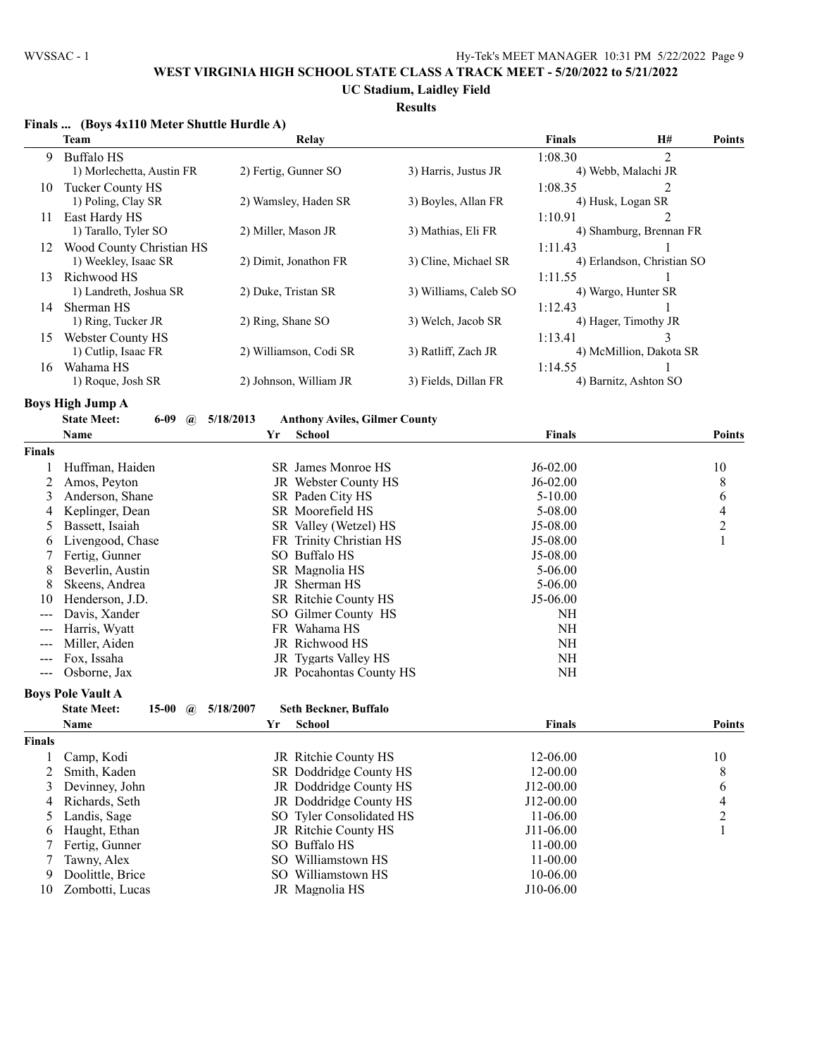**UC Stadium, Laidley Field**

|               | Finals  (Boys 4x110 Meter Shuttle Hurdle A)    |                      |                                      |                       |               |                            |                          |
|---------------|------------------------------------------------|----------------------|--------------------------------------|-----------------------|---------------|----------------------------|--------------------------|
|               | <b>Team</b>                                    |                      | Relay                                |                       | <b>Finals</b> | H#                         | <b>Points</b>            |
| 9             | <b>Buffalo HS</b>                              |                      |                                      |                       | 1:08.30       | $\overline{2}$             |                          |
|               | 1) Morlechetta, Austin FR                      | 2) Fertig, Gunner SO |                                      | 3) Harris, Justus JR  |               | 4) Webb, Malachi JR        |                          |
| 10            | Tucker County HS                               |                      |                                      |                       | 1:08.35       | 2                          |                          |
|               | 1) Poling, Clay SR                             |                      | 2) Wamsley, Haden SR                 | 3) Boyles, Allan FR   |               | 4) Husk, Logan SR          |                          |
| 11            | East Hardy HS                                  |                      |                                      |                       | 1:10.91       | $\overline{2}$             |                          |
|               | 1) Tarallo, Tyler SO                           | 2) Miller, Mason JR  |                                      | 3) Mathias, Eli FR    |               | 4) Shamburg, Brennan FR    |                          |
| 12            | Wood County Christian HS                       |                      |                                      |                       | 1:11.43       | 1                          |                          |
|               | 1) Weekley, Isaac SR                           |                      | 2) Dimit, Jonathon FR                | 3) Cline, Michael SR  |               | 4) Erlandson, Christian SO |                          |
| 13            | Richwood HS                                    |                      |                                      |                       | 1:11.55       |                            |                          |
|               | 1) Landreth, Joshua SR                         | 2) Duke, Tristan SR  |                                      | 3) Williams, Caleb SO |               | 4) Wargo, Hunter SR        |                          |
| 14            | Sherman HS                                     |                      |                                      |                       | 1:12.43       |                            |                          |
|               | 1) Ring, Tucker JR                             | 2) Ring, Shane SO    |                                      | 3) Welch, Jacob SR    |               | 4) Hager, Timothy JR       |                          |
| 15            | <b>Webster County HS</b>                       |                      |                                      |                       | 1:13.41       | 3                          |                          |
|               | 1) Cutlip, Isaac FR                            |                      | 2) Williamson, Codi SR               | 3) Ratliff, Zach JR   |               | 4) McMillion, Dakota SR    |                          |
| 16            | Wahama HS                                      |                      |                                      |                       | 1:14.55       | 1                          |                          |
|               | 1) Roque, Josh SR                              |                      | 2) Johnson, William JR               | 3) Fields, Dillan FR  |               | 4) Barnitz, Ashton SO      |                          |
|               | <b>Boys High Jump A</b>                        |                      |                                      |                       |               |                            |                          |
|               | <b>State Meet:</b><br>$6 - 09$<br>$\mathbf{a}$ | 5/18/2013            | <b>Anthony Aviles, Gilmer County</b> |                       |               |                            |                          |
|               | Name                                           | Yr                   | <b>School</b>                        |                       | <b>Finals</b> |                            | <b>Points</b>            |
| <b>Finals</b> |                                                |                      |                                      |                       |               |                            |                          |
|               | Huffman, Haiden                                |                      | SR James Monroe HS                   |                       | $J6-02.00$    |                            | 10                       |
| 2             | Amos, Peyton                                   |                      | JR Webster County HS                 |                       | $J6-02.00$    |                            | 8                        |
| 3             | Anderson, Shane                                |                      | SR Paden City HS                     |                       | $5 - 10.00$   |                            | $\boldsymbol{6}$         |
| 4             | Keplinger, Dean                                |                      | SR Moorefield HS                     |                       | 5-08.00       |                            | $\overline{\mathcal{L}}$ |
| 5             | Bassett, Isaiah                                |                      | SR Valley (Wetzel) HS                |                       | J5-08.00      |                            | $\overline{c}$           |
| 6             | Livengood, Chase                               |                      | FR Trinity Christian HS              |                       | J5-08.00      |                            | 1                        |
|               | Fertig, Gunner                                 |                      | SO Buffalo HS                        |                       | J5-08.00      |                            |                          |
| 8             | Beverlin, Austin                               |                      | SR Magnolia HS                       |                       | $5 - 06.00$   |                            |                          |
| 8             | Skeens, Andrea                                 |                      | JR Sherman HS                        |                       | 5-06.00       |                            |                          |
| 10            | Henderson, J.D.                                |                      | SR Ritchie County HS                 |                       | J5-06.00      |                            |                          |
|               | Davis, Xander                                  |                      | SO Gilmer County HS                  |                       | NH            |                            |                          |
| ---           | Harris, Wyatt                                  |                      | FR Wahama HS                         |                       | NH            |                            |                          |
|               | Miller, Aiden                                  |                      | JR Richwood HS                       |                       | NH            |                            |                          |
| $---$         | Fox, Issaha                                    |                      | JR Tygarts Valley HS                 |                       | $\rm NH$      |                            |                          |
| $---$         | Osborne, Jax                                   |                      | JR Pocahontas County HS              |                       | NH            |                            |                          |
|               | <b>Boys Pole Vault A</b>                       |                      |                                      |                       |               |                            |                          |
|               | 15-00 $\omega$ 5/18/2007<br><b>State Meet:</b> |                      | Seth Beckner, Buffalo                |                       |               |                            |                          |
|               | Name                                           | Yr                   | <b>School</b>                        |                       | <b>Finals</b> |                            | <b>Points</b>            |
| <b>Finals</b> |                                                |                      |                                      |                       |               |                            |                          |
| 1             | Camp, Kodi                                     |                      | JR Ritchie County HS                 |                       | 12-06.00      |                            | 10                       |
| 2             | Smith, Kaden                                   |                      | SR Doddridge County HS               |                       | 12-00.00      |                            | 8                        |
| 3             | Devinney, John                                 |                      | JR Doddridge County HS               |                       | J12-00.00     |                            | 6                        |
| 4             | Richards, Seth                                 |                      | JR Doddridge County HS               |                       | J12-00.00     |                            | $\overline{\mathcal{L}}$ |
| 5             | Landis, Sage                                   |                      | SO Tyler Consolidated HS             |                       | 11-06.00      |                            | $\overline{c}$           |
| 6             | Haught, Ethan                                  |                      | JR Ritchie County HS                 |                       | J11-06.00     |                            | 1                        |
|               | Fertig, Gunner                                 |                      | SO Buffalo HS                        |                       | 11-00.00      |                            |                          |
| 7             | Tawny, Alex                                    |                      | SO Williamstown HS                   |                       | 11-00.00      |                            |                          |
| 9             | Doolittle, Brice                               |                      | SO Williamstown HS                   |                       | 10-06.00      |                            |                          |
| 10            | Zombotti, Lucas                                |                      | JR Magnolia HS                       |                       | J10-06.00     |                            |                          |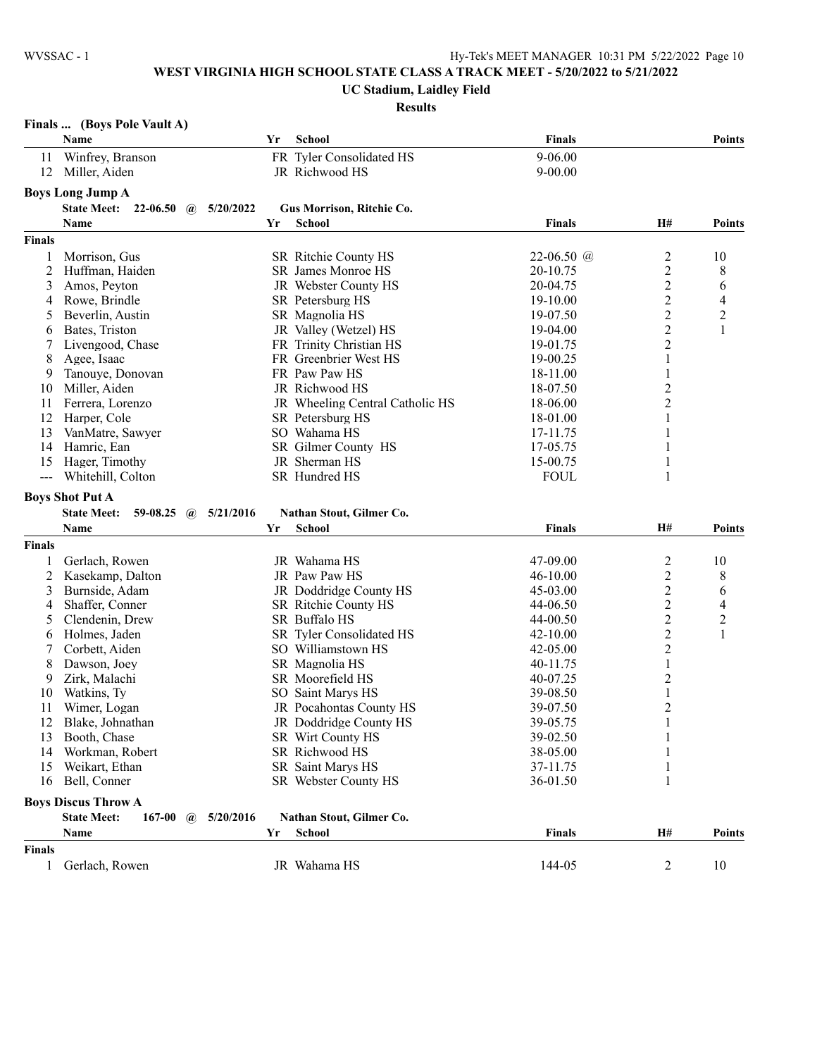#### **UC Stadium, Laidley Field**

| Finals | (Boys Pole Vault A) |  |  |  |
|--------|---------------------|--|--|--|
|--------|---------------------|--|--|--|

|                      | Name                                              | Yr        | <b>School</b>                   | <b>Finals</b> |                                | <b>Points</b>  |
|----------------------|---------------------------------------------------|-----------|---------------------------------|---------------|--------------------------------|----------------|
| 11                   | Winfrey, Branson                                  |           | FR Tyler Consolidated HS        | 9-06.00       |                                |                |
| 12                   | Miller, Aiden                                     |           | JR Richwood HS                  | $9 - 00.00$   |                                |                |
|                      | <b>Boys Long Jump A</b>                           |           |                                 |               |                                |                |
|                      | State Meet: 22-06.50 @                            | 5/20/2022 | Gus Morrison, Ritchie Co.       |               |                                |                |
|                      | Name                                              | Yr        | School                          | <b>Finals</b> | H#                             | <b>Points</b>  |
|                      |                                                   |           |                                 |               |                                |                |
| <b>Finals</b>        |                                                   |           |                                 |               |                                |                |
| 1                    | Morrison, Gus                                     |           | SR Ritchie County HS            | 22-06.50 $@$  | $\overline{\mathbf{c}}$        | 10             |
| 2                    | Huffman, Haiden                                   |           | SR James Monroe HS              | 20-10.75      | $\overline{c}$                 | 8              |
| 3                    | Amos, Peyton                                      |           | JR Webster County HS            | 20-04.75      | 2                              | 6              |
| 4                    | Rowe, Brindle                                     |           | SR Petersburg HS                | 19-10.00      | 2                              | 4              |
| 5                    | Beverlin, Austin                                  |           | SR Magnolia HS                  | 19-07.50      | $\overline{c}$                 | $\overline{c}$ |
| 6                    | Bates, Triston                                    |           | JR Valley (Wetzel) HS           | 19-04.00      | $\overline{c}$                 | $\mathbf{1}$   |
| 7                    | Livengood, Chase                                  |           | FR Trinity Christian HS         | 19-01.75      | 2                              |                |
| 8                    | Agee, Isaac                                       |           | FR Greenbrier West HS           | 19-00.25      | 1                              |                |
| 9                    | Tanouye, Donovan                                  |           | FR Paw Paw HS                   | 18-11.00      | 1                              |                |
| 10                   | Miller, Aiden                                     |           | JR Richwood HS                  | 18-07.50      | 2                              |                |
| 11                   | Ferrera, Lorenzo                                  |           | JR Wheeling Central Catholic HS | 18-06.00      | $\overline{c}$                 |                |
| 12                   | Harper, Cole                                      |           | SR Petersburg HS                | 18-01.00      | 1                              |                |
| 13                   | VanMatre, Sawyer                                  |           | SO Wahama HS                    | 17-11.75      | 1                              |                |
| 14                   | Hamric, Ean                                       |           | SR Gilmer County HS             | 17-05.75      | 1                              |                |
| 15                   | Hager, Timothy                                    |           | JR Sherman HS                   | 15-00.75      | 1                              |                |
| $\sim$ $\sim$ $\sim$ | Whitehill, Colton                                 |           | SR Hundred HS                   | <b>FOUL</b>   | 1                              |                |
|                      | <b>Boys Shot Put A</b>                            |           |                                 |               |                                |                |
|                      | <b>State Meet:</b><br>59-08.25 $\omega$ 5/21/2016 |           | Nathan Stout, Gilmer Co.        |               |                                |                |
|                      | Name                                              | Yr        | <b>School</b>                   | <b>Finals</b> | H#                             | <b>Points</b>  |
| Finals               |                                                   |           |                                 |               |                                |                |
| 1                    | Gerlach, Rowen                                    |           | JR Wahama HS                    | 47-09.00      | $\overline{\mathbf{c}}$        | 10             |
| 2                    | Kasekamp, Dalton                                  |           | JR Paw Paw HS                   | 46-10.00      | $\overline{c}$                 | 8              |
| 3                    | Burnside, Adam                                    |           | JR Doddridge County HS          | 45-03.00      | 2                              | 6              |
| 4                    | Shaffer, Conner                                   |           | SR Ritchie County HS            | 44-06.50      | 2                              | 4              |
| 5                    | Clendenin, Drew                                   |           | SR Buffalo HS                   | 44-00.50      | $\overline{2}$                 | $\overline{c}$ |
| 6                    | Holmes, Jaden                                     |           | SR Tyler Consolidated HS        | $42 - 10.00$  | $\overline{c}$                 | $\mathbf{1}$   |
| 7                    | Corbett, Aiden                                    |           | SO Williamstown HS              | $42 - 05.00$  | $\overline{c}$                 |                |
| 8                    | Dawson, Joey                                      |           | SR Magnolia HS                  | 40-11.75      | 1                              |                |
| 9                    | Zirk, Malachi                                     |           | SR Moorefield HS                | 40-07.25      | 2                              |                |
|                      | Watkins, Ty                                       |           | SO Saint Marys HS               | 39-08.50      |                                |                |
| 10<br>11             | Wimer, Logan                                      |           | JR Pocahontas County HS         | 39-07.50      | $\mathbf{1}$<br>$\overline{c}$ |                |
| 12                   |                                                   |           | JR Doddridge County HS          | 39-05.75      | $\mathbf{1}$                   |                |
|                      | Blake, Johnathan                                  |           |                                 |               |                                |                |
| 13                   | Booth, Chase                                      |           | SR Wirt County HS               | 39-02.50      | $\mathbf{1}$                   |                |
| 14                   | Workman, Robert                                   |           | SR Richwood HS                  | 38-05.00      | 1                              |                |
| 15                   | Weikart, Ethan                                    |           | SR Saint Marys HS               | 37-11.75      | 1                              |                |
| 16                   | Bell, Conner                                      |           | SR Webster County HS            | 36-01.50      | 1                              |                |
|                      | <b>Boys Discus Throw A</b>                        |           |                                 |               |                                |                |
|                      | <b>State Meet:</b><br>$167 - 00$<br>$\mathbf{a}$  | 5/20/2016 | Nathan Stout, Gilmer Co.        |               |                                |                |
|                      | Name                                              | Yr        | <b>School</b>                   | <b>Finals</b> | H#                             | Points         |
| Finals               |                                                   |           |                                 |               |                                |                |
| 1                    | Gerlach, Rowen                                    |           | JR Wahama HS                    | 144-05        | 2                              | 10             |